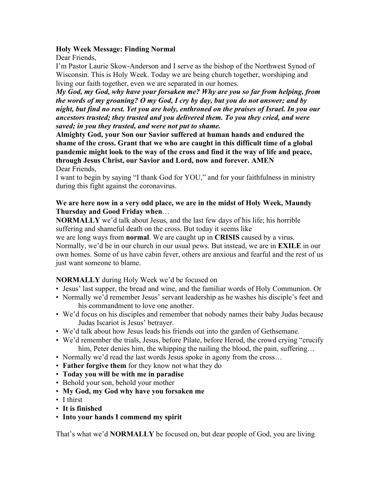### **Holy Week Message: Finding Normal**

Dear Friends,

I'm Pastor Laurie Skow-Anderson and I serve as the bishop of the Northwest Synod of Wisconsin. This is Holy Week. Today we are being church together, worshiping and living our faith together, even we are separated in our homes.

*My God, my God, why have your forsaken me? Why are you so far from helping, from the words of my groaning? O my God, I cry by day, but you do not answer; and by night, but find no rest. Yet you are holy, enthroned on the praises of Israel. In you our ancestors trusted; they trusted and you delivered them. To you they cried, and were saved; in you they trusted, and were not put to shame.*

**Almighty God, your Son our Savior suffered at human hands and endured the shame of the cross. Grant that we who are caught in this difficult time of a global pandemic might look to the way of the cross and find it the way of life and peace, through Jesus Christ, our Savior and Lord, now and forever. AMEN** Dear Friends,

I want to begin by saying "I thank God for YOU," and for your faithfulness in ministry during this fight against the coronavirus.

## **We are here now in a very odd place, we are in the midst of Holy Week, Maundy Thursday and Good Friday when**…

**NORMALLY** we'd talk about Jesus, and the last few days of his life; his horrible suffering and shameful death on the cross. But today it seems like

we are long ways from **normal**. We are caught up in **CRISIS** caused by a virus. Normally, we'd be in our church in our usual pews. But instead, we are in **EXILE** in our own homes. Some of us have cabin fever, others are anxious and fearful and the rest of us just want someone to blame.

# **NORMALLY** during Holy Week we'd be focused on

- Jesus' last supper, the bread and wine, and the familiar words of Holy Communion. Or
- Normally we'd remember Jesus' servant leadership as he washes his disciple's feet and his commandment to love one another.
- We'd focus on his disciples and remember that nobody names their baby Judas because Judas Iscariot is Jesus' betrayer.
- We'd talk about how Jesus leads his friends out into the garden of Gethsemane.
- We'd remember the trials, Jesus, before Pilate, before Herod, the crowd crying "crucify him, Peter denies him, the whipping the nailing the blood, the pain, suffering…
- Normally we'd read the last words Jesus spoke in agony from the cross...
- **Father forgive them** for they know not what they do
- **Today you will be with me in paradise**
- Behold your son, behold your mother
- **My God, my God why have you forsaken me**
- I thirst
- **It is finished**
- **Into your hands I commend my spirit**

That's what we'd **NORMALLY** be focused on, but dear people of God, you are living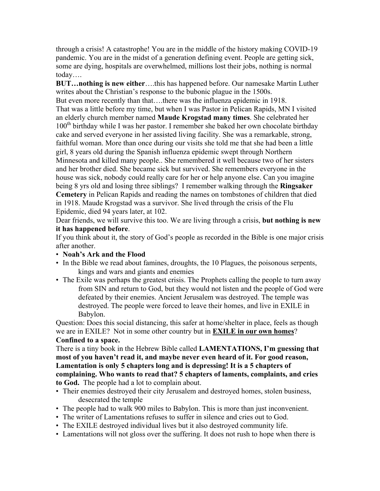through a crisis! A catastrophe! You are in the middle of the history making COVID-19 pandemic. You are in the midst of a generation defining event. People are getting sick, some are dying, hospitals are overwhelmed, millions lost their jobs, nothing is normal today….

**BUT…nothing is new either**….this has happened before. Our namesake Martin Luther writes about the Christian's response to the bubonic plague in the 1500s.

But even more recently than that….there was the influenza epidemic in 1918. That was a little before my time, but when I was Pastor in Pelican Rapids, MN I visited an elderly church member named **Maude Krogstad many times**. She celebrated her  $100<sup>th</sup>$  birthday while I was her pastor. I remember she baked her own chocolate birthday cake and served everyone in her assisted living facility. She was a remarkable, strong, faithful woman. More than once during our visits she told me that she had been a little girl, 8 years old during the Spanish influenza epidemic swept through Northern Minnesota and killed many people.. She remembered it well because two of her sisters and her brother died. She became sick but survived. She remembers everyone in the house was sick, nobody could really care for her or help anyone else. Can you imagine being 8 yrs old and losing three siblings? I remember walking through the **Ringsaker Cemetery** in Pelican Rapids and reading the names on tombstones of children that died in 1918. Maude Krogstad was a survivor. She lived through the crisis of the Flu Epidemic, died 94 years later, at 102.

Dear friends, we will survive this too. We are living through a crisis, **but nothing is new it has happened before**.

If you think about it, the story of God's people as recorded in the Bible is one major crisis after another.

- **Noah's Ark and the Flood**
- In the Bible we read about famines, droughts, the 10 Plagues, the poisonous serpents, kings and wars and giants and enemies
- The Exile was perhaps the greatest crisis. The Prophets calling the people to turn away from SIN and return to God, but they would not listen and the people of God were defeated by their enemies. Ancient Jerusalem was destroyed. The temple was destroyed. The people were forced to leave their homes, and live in EXILE in Babylon.

Question: Does this social distancing, this safer at home/shelter in place, feels as though we are in EXILE? Not in some other country but in **EXILE in our own homes**? **Confined to a space.** 

There is a tiny book in the Hebrew Bible called **LAMENTATIONS, I'm guessing that most of you haven't read it, and maybe never even heard of it. For good reason, Lamentation is only 5 chapters long and is depressing! It is a 5 chapters of complaining. Who wants to read that? 5 chapters of laments, complaints, and cries to God.** The people had a lot to complain about.

- Their enemies destroyed their city Jerusalem and destroyed homes, stolen business, desecrated the temple
- The people had to walk 900 miles to Babylon. This is more than just inconvenient.
- The writer of Lamentations refuses to suffer in silence and cries out to God.
- The EXILE destroyed individual lives but it also destroyed community life.
- Lamentations will not gloss over the suffering. It does not rush to hope when there is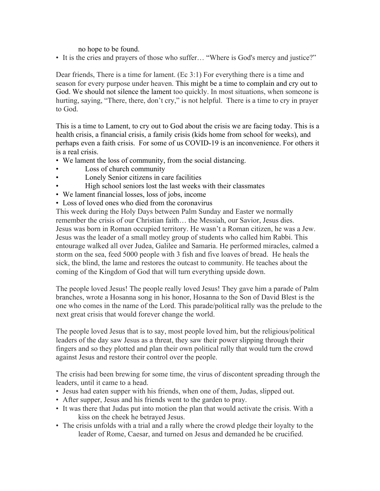#### no hope to be found.

• It is the cries and prayers of those who suffer... "Where is God's mercy and justice?"

Dear friends, There is a time for lament. (Ec 3:1) For everything there is a time and season for every purpose under heaven. This might be a time to complain and cry out to God. We should not silence the lament too quickly. In most situations, when someone is hurting, saying, "There, there, don't cry," is not helpful. There is a time to cry in prayer to God.

This is a time to Lament, to cry out to God about the crisis we are facing today. This is a health crisis, a financial crisis, a family crisis (kids home from school for weeks), and perhaps even a faith crisis. For some of us COVID-19 is an inconvenience. For others it is a real crisis.

- We lament the loss of community, from the social distancing.
- Loss of church community
- Lonely Senior citizens in care facilities
- High school seniors lost the last weeks with their classmates
- We lament financial losses, loss of jobs, income
- Loss of loved ones who died from the coronavirus

This week during the Holy Days between Palm Sunday and Easter we normally remember the crisis of our Christian faith… the Messiah, our Savior, Jesus dies. Jesus was born in Roman occupied territory. He wasn't a Roman citizen, he was a Jew. Jesus was the leader of a small motley group of students who called him Rabbi. This entourage walked all over Judea, Galilee and Samaria. He performed miracles, calmed a storm on the sea, feed 5000 people with 3 fish and five loaves of bread. He heals the sick, the blind, the lame and restores the outcast to community. He teaches about the coming of the Kingdom of God that will turn everything upside down.

The people loved Jesus! The people really loved Jesus! They gave him a parade of Palm branches, wrote a Hosanna song in his honor, Hosanna to the Son of David Blest is the one who comes in the name of the Lord. This parade/political rally was the prelude to the next great crisis that would forever change the world.

The people loved Jesus that is to say, most people loved him, but the religious/political leaders of the day saw Jesus as a threat, they saw their power slipping through their fingers and so they plotted and plan their own political rally that would turn the crowd against Jesus and restore their control over the people.

The crisis had been brewing for some time, the virus of discontent spreading through the leaders, until it came to a head.

- Jesus had eaten supper with his friends, when one of them, Judas, slipped out.
- After supper, Jesus and his friends went to the garden to pray.
- It was there that Judas put into motion the plan that would activate the crisis. With a kiss on the cheek he betrayed Jesus.
- The crisis unfolds with a trial and a rally where the crowd pledge their loyalty to the leader of Rome, Caesar, and turned on Jesus and demanded he be crucified.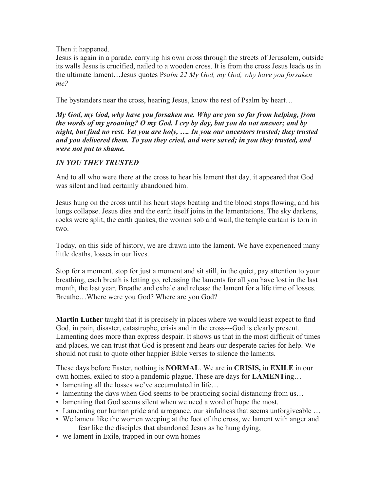## Then it happened.

Jesus is again in a parade, carrying his own cross through the streets of Jerusalem, outside its walls Jesus is crucified, nailed to a wooden cross. It is from the cross Jesus leads us in the ultimate lament…Jesus quotes Ps*alm 22 My God, my God, why have you forsaken me?* 

The bystanders near the cross, hearing Jesus, know the rest of Psalm by heart…

*My God, my God, why have you forsaken me. Why are you so far from helping, from the words of my groaning? O my God, I cry by day, but you do not answer; and by night, but find no rest. Yet you are holy, …. In you our ancestors trusted; they trusted and you delivered them. To you they cried, and were saved; in you they trusted, and were not put to shame.*

# *IN YOU THEY TRUSTED*

And to all who were there at the cross to hear his lament that day, it appeared that God was silent and had certainly abandoned him.

Jesus hung on the cross until his heart stops beating and the blood stops flowing, and his lungs collapse. Jesus dies and the earth itself joins in the lamentations. The sky darkens, rocks were split, the earth quakes, the women sob and wail, the temple curtain is torn in two.

Today, on this side of history, we are drawn into the lament. We have experienced many little deaths, losses in our lives.

Stop for a moment, stop for just a moment and sit still, in the quiet, pay attention to your breathing, each breath is letting go, releasing the laments for all you have lost in the last month, the last year. Breathe and exhale and release the lament for a life time of losses. Breathe…Where were you God? Where are you God?

**Martin Luther** taught that it is precisely in places where we would least expect to find God, in pain, disaster, catastrophe, crisis and in the cross---God is clearly present. Lamenting does more than express despair. It shows us that in the most difficult of times and places, we can trust that God is present and hears our desperate caries for help. We should not rush to quote other happier Bible verses to silence the laments.

These days before Easter, nothing is **NORMAL**. We are in **CRISIS,** in **EXILE** in our own homes, exiled to stop a pandemic plague. These are days for **LAMENT**ing…

- lamenting all the losses we've accumulated in life...
- lamenting the days when God seems to be practicing social distancing from us...
- lamenting that God seems silent when we need a word of hope the most.
- Lamenting our human pride and arrogance, our sinfulness that seems unforgiveable …
- We lament like the women weeping at the foot of the cross, we lament with anger and fear like the disciples that abandoned Jesus as he hung dying,
- we lament in Exile, trapped in our own homes